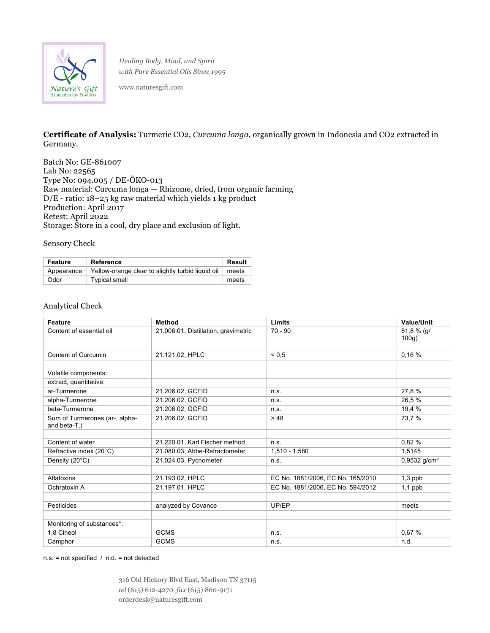

*Healing Body, Mind, and Spirit with Pure Essential Oils Since 1995*

www.naturesgift.com

**Certificate of Analysis:** Turmeric CO2, *Curcuma longa*, organically grown in Indonesia and CO2 extracted in Germany.

Batch No: GE-861007 Lab No: 22565 Type No: 094.005 / DE-ÖKO-013 Raw material: Curcuma longa — Rhizome, dried, from organic farming  $D/E$  - ratio: 18–25 kg raw material which yields 1 kg product Production: April 2017 Retest: April 2022 Storage: Store in a cool, dry place and exclusion of light.

Sensory Check

| Feature    | Reference                                                 | Result |
|------------|-----------------------------------------------------------|--------|
| Appearance | Yellow-orange clear to slightly turbid liquid oil   meets |        |
| Odor       | <b>Typical smell</b>                                      | meets  |

## Analytical Check

| <b>Feature</b>                                 | <b>Method</b>                        | Limits                            | Value/Unit                 |
|------------------------------------------------|--------------------------------------|-----------------------------------|----------------------------|
| Content of essential oil                       | 21.006.01, Distillation, gravimetric | $70 - 90$                         | $81,8%$ (g/<br>100g)       |
|                                                |                                      |                                   |                            |
| Content of Curcumin                            | 21.121.02, HPLC                      | ${}_{0.5}$                        | 0,16%                      |
|                                                |                                      |                                   |                            |
| Volatile components:                           |                                      |                                   |                            |
| extract, quantitative:                         |                                      |                                   |                            |
| ar-Turmerone                                   | 21.206.02, GCFID                     | n.s.                              | 27,8 %                     |
| alpha-Turmerone                                | 21.206.02, GCFID                     | n.s.                              | 26,5 %                     |
| beta-Turmerone                                 | 21.206.02, GCFID                     | n.s.                              | 19,4 %                     |
| Sum of Turmerones (ar-, alpha-<br>and beta-T.) | 21.206.02, GCFID                     | > 48                              | 73,7 %                     |
|                                                |                                      |                                   |                            |
| Content of water                               | 21.220.01, Karl Fischer method       | n.s.                              | 0,82%                      |
| Refractive index (20°C)                        | 21.080.03, Abbe-Refractometer        | $1,510 - 1,580$                   | 1,5145                     |
| Density (20°C)                                 | 21.024.03, Pycnometer                | n.s.                              | $0,9532$ g/cm <sup>3</sup> |
|                                                |                                      |                                   |                            |
| Aflatoxins                                     | 21.193.02, HPLC                      | EC No. 1881/2006, EC No. 165/2010 | $1,3$ ppb                  |
| Ochratoxin A                                   | 21.197.01, HPLC                      | EC No. 1881/2006, EC No. 594/2012 | $1,1$ ppb                  |
|                                                |                                      |                                   |                            |
| Pesticides                                     | analyzed by Covance                  | UP/EP                             | meets                      |
|                                                |                                      |                                   |                            |
| Monitoring of substances*:                     |                                      |                                   |                            |
| 1,8 Cineol                                     | <b>GCMS</b>                          | n.s.                              | 0,67 %                     |
| Camphor                                        | <b>GCMS</b>                          | n.s.                              | n.d.                       |

n.s. = not specified / n.d. = not detected

316 Old Hickory Blvd East, Madison TN 37115 *tel* (615) 612-4270 *fax* (615) 860-9171 orderdesk@naturesgift.com